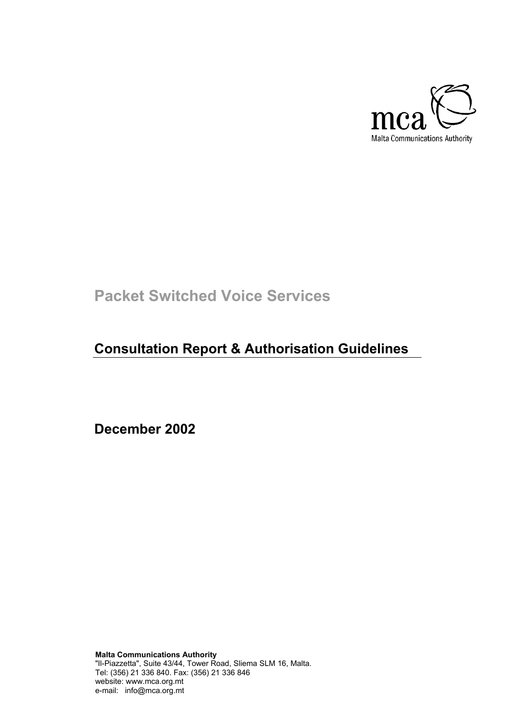

# **Packet Switched Voice Services**

# **Consultation Report & Authorisation Guidelines**

**December 2002** 

**Malta Communications Authority** "Il-Piazzetta", Suite 43/44, Tower Road, Sliema SLM 16, Malta. Tel: (356) 21 336 840. Fax: (356) 21 336 846 website: www.mca.org.mt e-mail: info@mca.org.mt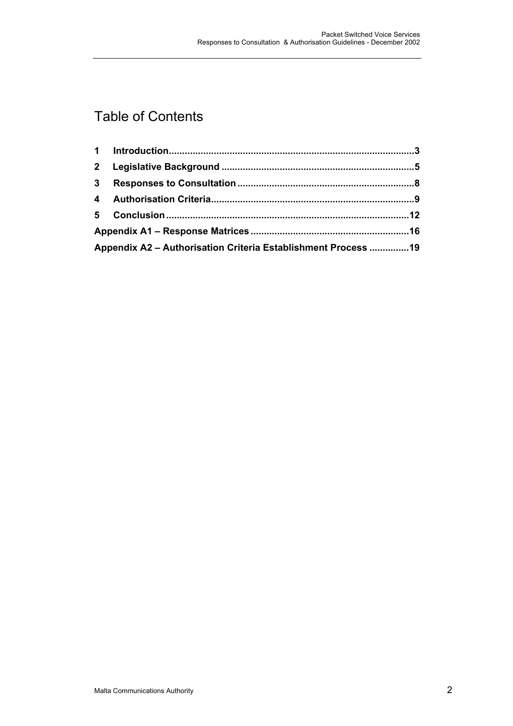## Table of Contents

| Appendix A2 - Authorisation Criteria Establishment Process  19 |  |  |
|----------------------------------------------------------------|--|--|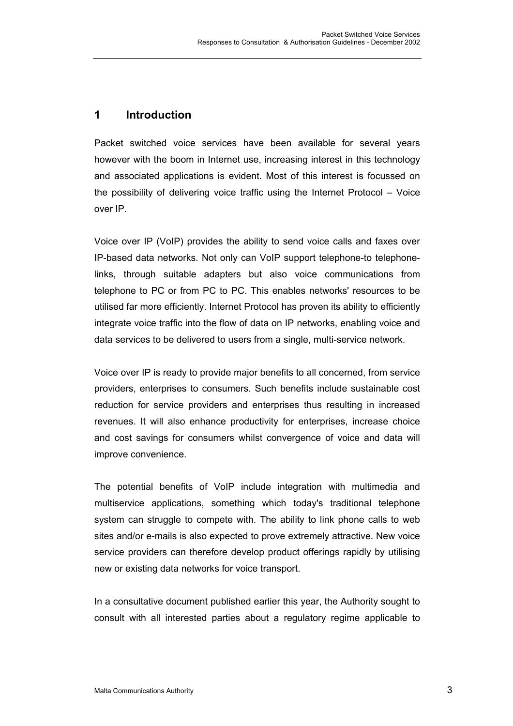#### **1 Introduction**

Packet switched voice services have been available for several years however with the boom in Internet use, increasing interest in this technology and associated applications is evident. Most of this interest is focussed on the possibility of delivering voice traffic using the Internet Protocol – Voice over IP.

Voice over IP (VoIP) provides the ability to send voice calls and faxes over IP-based data networks. Not only can VoIP support telephone-to telephonelinks, through suitable adapters but also voice communications from telephone to PC or from PC to PC. This enables networks' resources to be utilised far more efficiently. Internet Protocol has proven its ability to efficiently integrate voice traffic into the flow of data on IP networks, enabling voice and data services to be delivered to users from a single, multi-service network.

Voice over IP is ready to provide major benefits to all concerned, from service providers, enterprises to consumers. Such benefits include sustainable cost reduction for service providers and enterprises thus resulting in increased revenues. It will also enhance productivity for enterprises, increase choice and cost savings for consumers whilst convergence of voice and data will improve convenience.

The potential benefits of VoIP include integration with multimedia and multiservice applications, something which today's traditional telephone system can struggle to compete with. The ability to link phone calls to web sites and/or e-mails is also expected to prove extremely attractive. New voice service providers can therefore develop product offerings rapidly by utilising new or existing data networks for voice transport.

In a consultative document published earlier this year, the Authority sought to consult with all interested parties about a regulatory regime applicable to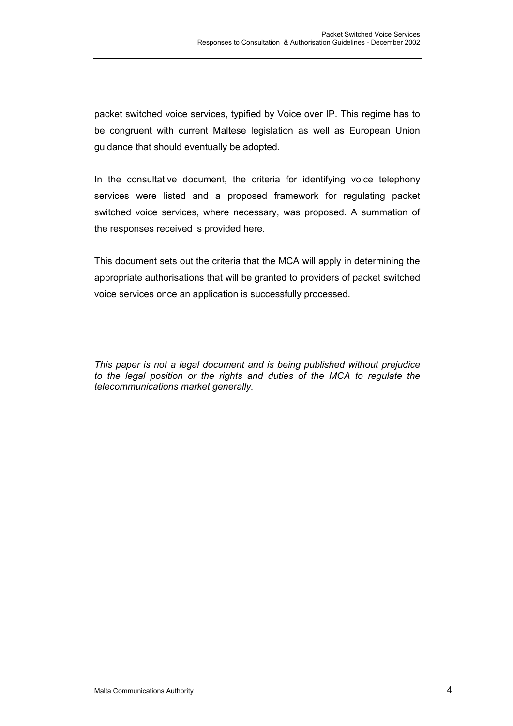packet switched voice services, typified by Voice over IP. This regime has to be congruent with current Maltese legislation as well as European Union guidance that should eventually be adopted.

In the consultative document, the criteria for identifying voice telephony services were listed and a proposed framework for regulating packet switched voice services, where necessary, was proposed. A summation of the responses received is provided here.

This document sets out the criteria that the MCA will apply in determining the appropriate authorisations that will be granted to providers of packet switched voice services once an application is successfully processed.

*This paper is not a legal document and is being published without prejudice to the legal position or the rights and duties of the MCA to regulate the telecommunications market generally.*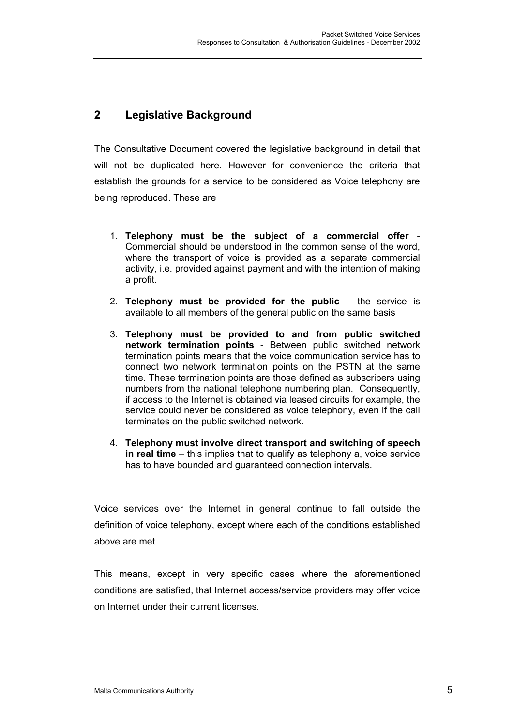### **2 Legislative Background**

The Consultative Document covered the legislative background in detail that will not be duplicated here. However for convenience the criteria that establish the grounds for a service to be considered as Voice telephony are being reproduced. These are

- 1. **Telephony must be the subject of a commercial offer** Commercial should be understood in the common sense of the word, where the transport of voice is provided as a separate commercial activity, i.e. provided against payment and with the intention of making a profit.
- 2. **Telephony must be provided for the public** the service is available to all members of the general public on the same basis
- 3. **Telephony must be provided to and from public switched network termination points** - Between public switched network termination points means that the voice communication service has to connect two network termination points on the PSTN at the same time. These termination points are those defined as subscribers using numbers from the national telephone numbering plan. Consequently, if access to the Internet is obtained via leased circuits for example, the service could never be considered as voice telephony, even if the call terminates on the public switched network.
- 4. **Telephony must involve direct transport and switching of speech in real time** – this implies that to qualify as telephony a, voice service has to have bounded and guaranteed connection intervals.

Voice services over the Internet in general continue to fall outside the definition of voice telephony, except where each of the conditions established above are met.

This means, except in very specific cases where the aforementioned conditions are satisfied, that Internet access/service providers may offer voice on Internet under their current licenses.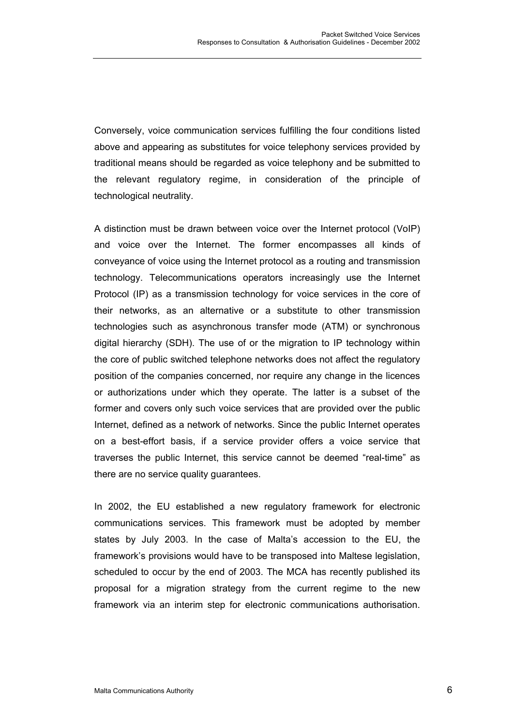Conversely, voice communication services fulfilling the four conditions listed above and appearing as substitutes for voice telephony services provided by traditional means should be regarded as voice telephony and be submitted to the relevant regulatory regime, in consideration of the principle of technological neutrality.

A distinction must be drawn between voice over the Internet protocol (VoIP) and voice over the Internet. The former encompasses all kinds of conveyance of voice using the Internet protocol as a routing and transmission technology. Telecommunications operators increasingly use the Internet Protocol (IP) as a transmission technology for voice services in the core of their networks, as an alternative or a substitute to other transmission technologies such as asynchronous transfer mode (ATM) or synchronous digital hierarchy (SDH). The use of or the migration to IP technology within the core of public switched telephone networks does not affect the regulatory position of the companies concerned, nor require any change in the licences or authorizations under which they operate. The latter is a subset of the former and covers only such voice services that are provided over the public Internet, defined as a network of networks. Since the public Internet operates on a best-effort basis, if a service provider offers a voice service that traverses the public Internet, this service cannot be deemed "real-time" as there are no service quality guarantees.

In 2002, the EU established a new regulatory framework for electronic communications services. This framework must be adopted by member states by July 2003. In the case of Malta's accession to the EU, the framework's provisions would have to be transposed into Maltese legislation, scheduled to occur by the end of 2003. The MCA has recently published its proposal for a migration strategy from the current regime to the new framework via an interim step for electronic communications authorisation.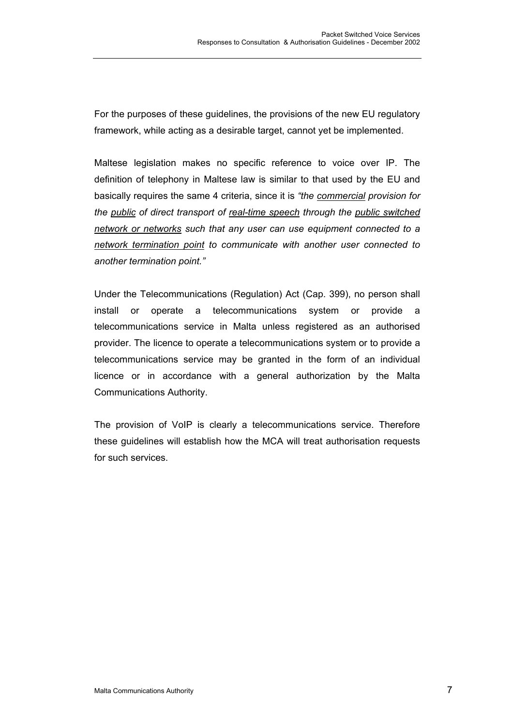For the purposes of these guidelines, the provisions of the new EU regulatory framework, while acting as a desirable target, cannot yet be implemented.

Maltese legislation makes no specific reference to voice over IP. The definition of telephony in Maltese law is similar to that used by the EU and basically requires the same 4 criteria, since it is *"the commercial provision for the public of direct transport of real-time speech through the public switched network or networks such that any user can use equipment connected to a network termination point to communicate with another user connected to another termination point."* 

Under the Telecommunications (Regulation) Act (Cap. 399), no person shall install or operate a telecommunications system or provide a telecommunications service in Malta unless registered as an authorised provider. The licence to operate a telecommunications system or to provide a telecommunications service may be granted in the form of an individual licence or in accordance with a general authorization by the Malta Communications Authority.

The provision of VoIP is clearly a telecommunications service. Therefore these guidelines will establish how the MCA will treat authorisation requests for such services.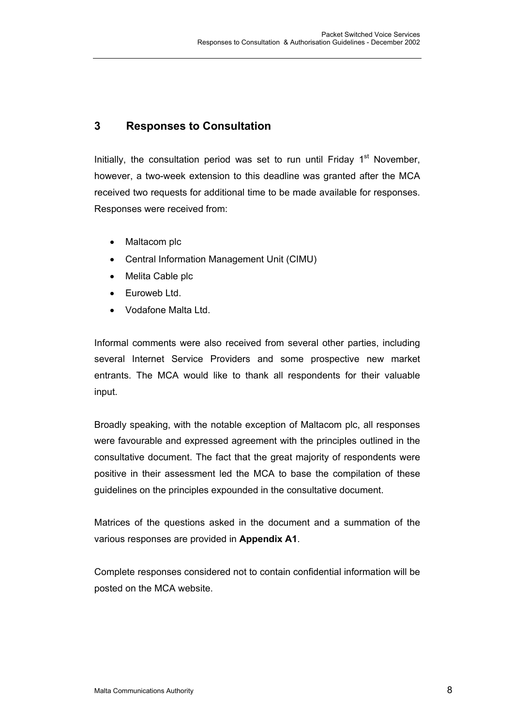### **3 Responses to Consultation**

Initially, the consultation period was set to run until Friday  $1<sup>st</sup>$  November. however, a two-week extension to this deadline was granted after the MCA received two requests for additional time to be made available for responses. Responses were received from:

- Maltacom plc
- Central Information Management Unit (CIMU)
- Melita Cable plc
- Euroweb Ltd.
- Vodafone Malta Ltd.

Informal comments were also received from several other parties, including several Internet Service Providers and some prospective new market entrants. The MCA would like to thank all respondents for their valuable input.

Broadly speaking, with the notable exception of Maltacom plc, all responses were favourable and expressed agreement with the principles outlined in the consultative document. The fact that the great majority of respondents were positive in their assessment led the MCA to base the compilation of these guidelines on the principles expounded in the consultative document.

Matrices of the questions asked in the document and a summation of the various responses are provided in **Appendix A1**.

Complete responses considered not to contain confidential information will be posted on the MCA website.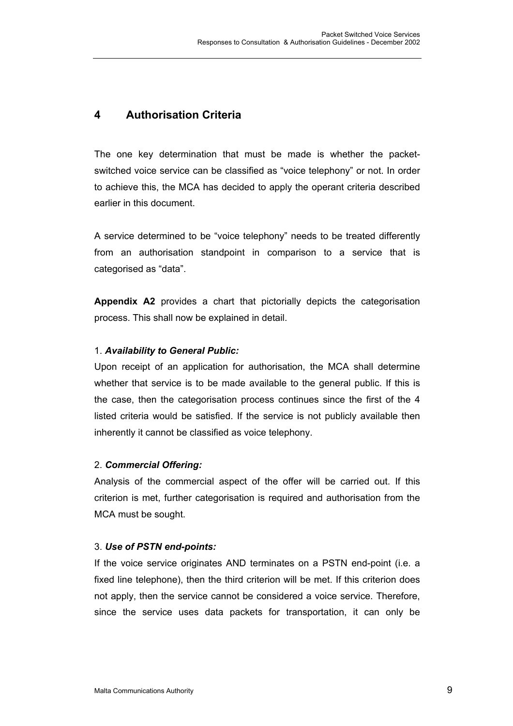#### **4 Authorisation Criteria**

The one key determination that must be made is whether the packetswitched voice service can be classified as "voice telephony" or not. In order to achieve this, the MCA has decided to apply the operant criteria described earlier in this document.

A service determined to be "voice telephony" needs to be treated differently from an authorisation standpoint in comparison to a service that is categorised as "data".

**Appendix A2** provides a chart that pictorially depicts the categorisation process. This shall now be explained in detail.

#### 1. *Availability to General Public:*

Upon receipt of an application for authorisation, the MCA shall determine whether that service is to be made available to the general public. If this is the case, then the categorisation process continues since the first of the 4 listed criteria would be satisfied. If the service is not publicly available then inherently it cannot be classified as voice telephony.

#### 2. *Commercial Offering:*

Analysis of the commercial aspect of the offer will be carried out. If this criterion is met, further categorisation is required and authorisation from the MCA must be sought.

#### 3. *Use of PSTN end-points:*

If the voice service originates AND terminates on a PSTN end-point (i.e. a fixed line telephone), then the third criterion will be met. If this criterion does not apply, then the service cannot be considered a voice service. Therefore, since the service uses data packets for transportation, it can only be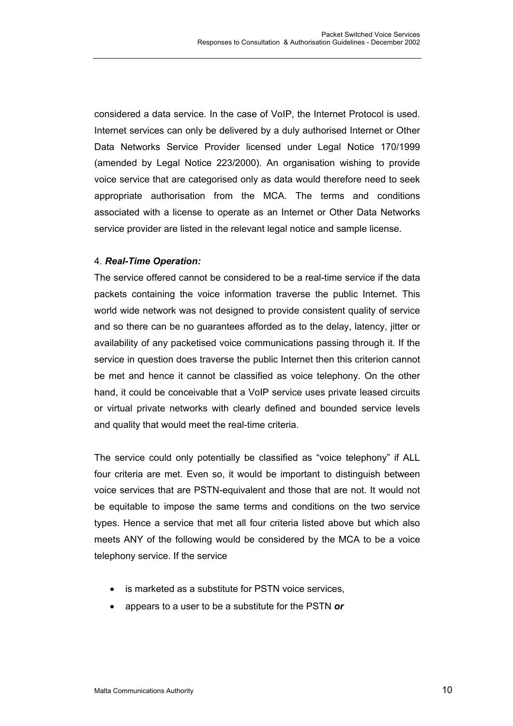considered a data service. In the case of VoIP, the Internet Protocol is used. Internet services can only be delivered by a duly authorised Internet or Other Data Networks Service Provider licensed under Legal Notice 170/1999 (amended by Legal Notice 223/2000). An organisation wishing to provide voice service that are categorised only as data would therefore need to seek appropriate authorisation from the MCA. The terms and conditions associated with a license to operate as an Internet or Other Data Networks service provider are listed in the relevant legal notice and sample license.

#### 4. *Real-Time Operation:*

The service offered cannot be considered to be a real-time service if the data packets containing the voice information traverse the public Internet. This world wide network was not designed to provide consistent quality of service and so there can be no guarantees afforded as to the delay, latency, jitter or availability of any packetised voice communications passing through it. If the service in question does traverse the public Internet then this criterion cannot be met and hence it cannot be classified as voice telephony. On the other hand, it could be conceivable that a VoIP service uses private leased circuits or virtual private networks with clearly defined and bounded service levels and quality that would meet the real-time criteria.

The service could only potentially be classified as "voice telephony" if ALL four criteria are met. Even so, it would be important to distinguish between voice services that are PSTN-equivalent and those that are not. It would not be equitable to impose the same terms and conditions on the two service types. Hence a service that met all four criteria listed above but which also meets ANY of the following would be considered by the MCA to be a voice telephony service. If the service

- is marketed as a substitute for PSTN voice services,
- appears to a user to be a substitute for the PSTN *or*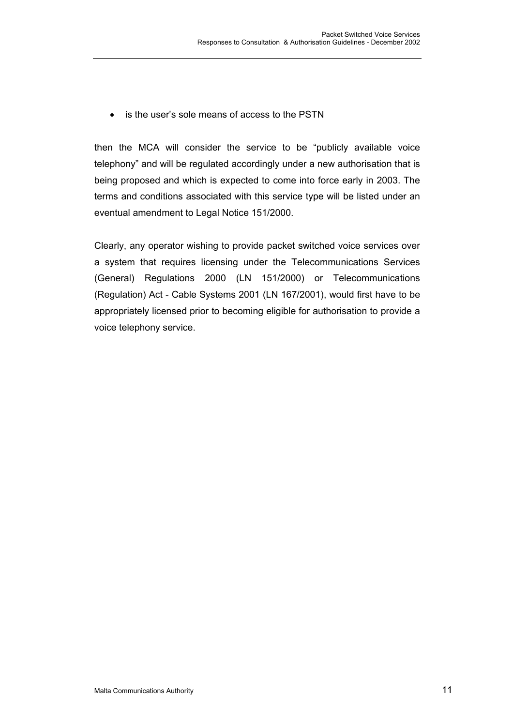• is the user's sole means of access to the PSTN

then the MCA will consider the service to be "publicly available voice telephony" and will be regulated accordingly under a new authorisation that is being proposed and which is expected to come into force early in 2003. The terms and conditions associated with this service type will be listed under an eventual amendment to Legal Notice 151/2000.

Clearly, any operator wishing to provide packet switched voice services over a system that requires licensing under the Telecommunications Services (General) Regulations 2000 (LN 151/2000) or Telecommunications (Regulation) Act - Cable Systems 2001 (LN 167/2001), would first have to be appropriately licensed prior to becoming eligible for authorisation to provide a voice telephony service.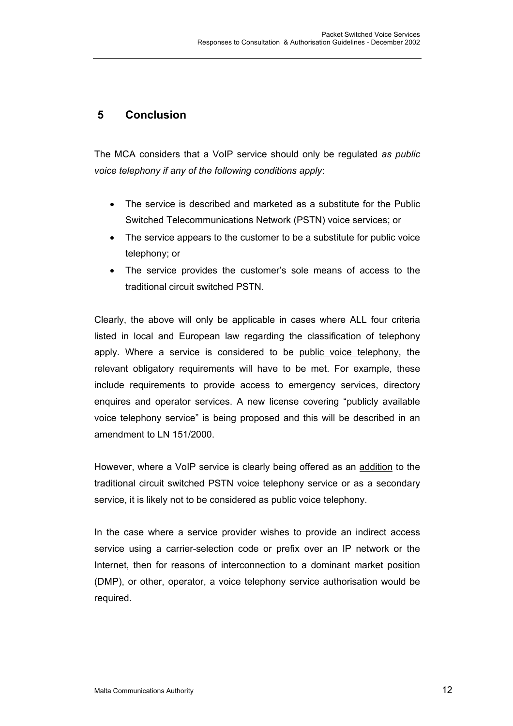### **5 Conclusion**

The MCA considers that a VoIP service should only be regulated *as public voice telephony if any of the following conditions apply*:

- The service is described and marketed as a substitute for the Public Switched Telecommunications Network (PSTN) voice services; or
- The service appears to the customer to be a substitute for public voice telephony; or
- The service provides the customer's sole means of access to the traditional circuit switched PSTN.

Clearly, the above will only be applicable in cases where ALL four criteria listed in local and European law regarding the classification of telephony apply. Where a service is considered to be public voice telephony, the relevant obligatory requirements will have to be met. For example, these include requirements to provide access to emergency services, directory enquires and operator services. A new license covering "publicly available voice telephony service" is being proposed and this will be described in an amendment to LN 151/2000.

However, where a VoIP service is clearly being offered as an addition to the traditional circuit switched PSTN voice telephony service or as a secondary service, it is likely not to be considered as public voice telephony.

In the case where a service provider wishes to provide an indirect access service using a carrier-selection code or prefix over an IP network or the Internet, then for reasons of interconnection to a dominant market position (DMP), or other, operator, a voice telephony service authorisation would be required.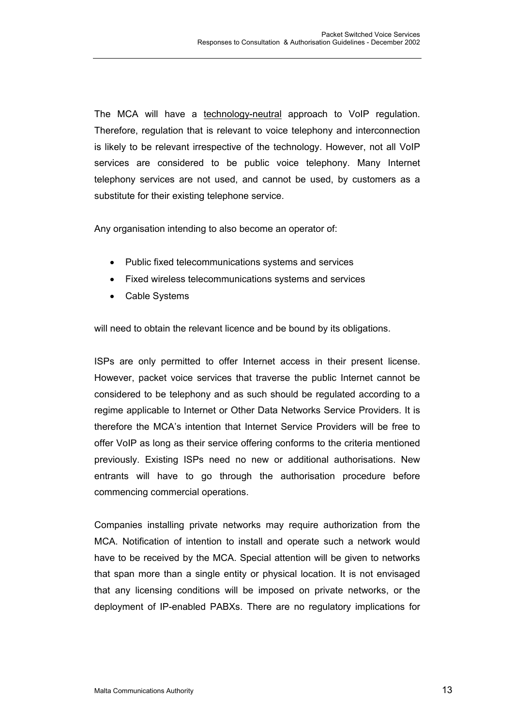The MCA will have a technology-neutral approach to VoIP regulation. Therefore, regulation that is relevant to voice telephony and interconnection is likely to be relevant irrespective of the technology. However, not all VoIP services are considered to be public voice telephony. Many Internet telephony services are not used, and cannot be used, by customers as a substitute for their existing telephone service.

Any organisation intending to also become an operator of:

- Public fixed telecommunications systems and services
- Fixed wireless telecommunications systems and services
- Cable Systems

will need to obtain the relevant licence and be bound by its obligations.

ISPs are only permitted to offer Internet access in their present license. However, packet voice services that traverse the public Internet cannot be considered to be telephony and as such should be regulated according to a regime applicable to Internet or Other Data Networks Service Providers. It is therefore the MCA's intention that Internet Service Providers will be free to offer VoIP as long as their service offering conforms to the criteria mentioned previously. Existing ISPs need no new or additional authorisations. New entrants will have to go through the authorisation procedure before commencing commercial operations.

Companies installing private networks may require authorization from the MCA. Notification of intention to install and operate such a network would have to be received by the MCA. Special attention will be given to networks that span more than a single entity or physical location. It is not envisaged that any licensing conditions will be imposed on private networks, or the deployment of IP-enabled PABXs. There are no regulatory implications for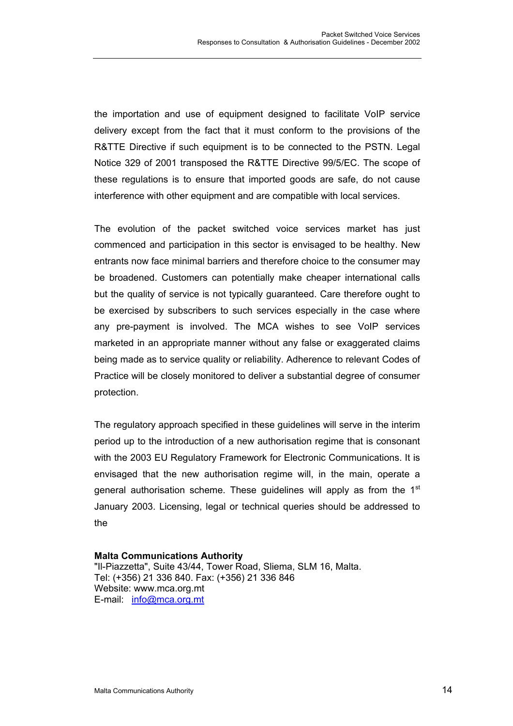the importation and use of equipment designed to facilitate VoIP service delivery except from the fact that it must conform to the provisions of the R&TTE Directive if such equipment is to be connected to the PSTN. Legal Notice 329 of 2001 transposed the R&TTE Directive 99/5/EC. The scope of these regulations is to ensure that imported goods are safe, do not cause interference with other equipment and are compatible with local services.

The evolution of the packet switched voice services market has just commenced and participation in this sector is envisaged to be healthy. New entrants now face minimal barriers and therefore choice to the consumer may be broadened. Customers can potentially make cheaper international calls but the quality of service is not typically guaranteed. Care therefore ought to be exercised by subscribers to such services especially in the case where any pre-payment is involved. The MCA wishes to see VoIP services marketed in an appropriate manner without any false or exaggerated claims being made as to service quality or reliability. Adherence to relevant Codes of Practice will be closely monitored to deliver a substantial degree of consumer protection.

The regulatory approach specified in these guidelines will serve in the interim period up to the introduction of a new authorisation regime that is consonant with the 2003 EU Regulatory Framework for Electronic Communications. It is envisaged that the new authorisation regime will, in the main, operate a general authorisation scheme. These guidelines will apply as from the 1<sup>st</sup> January 2003. Licensing, legal or technical queries should be addressed to the

**Malta Communications Authority**  "Il-Piazzetta", Suite 43/44, Tower Road, Sliema, SLM 16, Malta. Tel: (+356) 21 336 840. Fax: (+356) 21 336 846 Website: www.mca.org.mt E-mail: info@mca.org.mt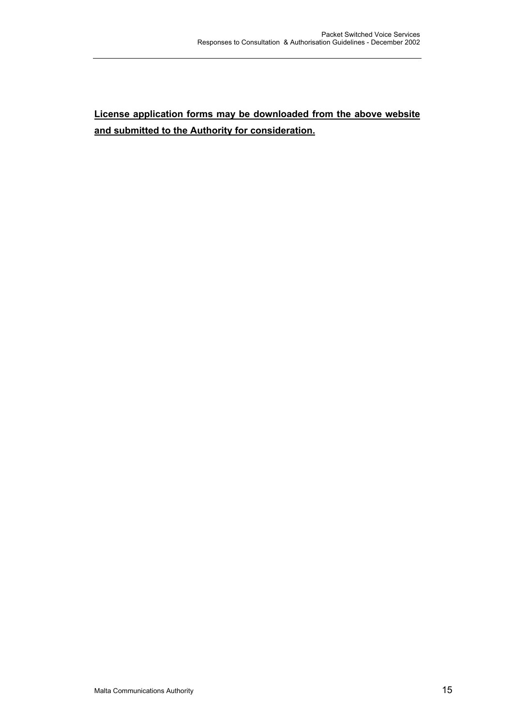### **License application forms may be downloaded from the above website and submitted to the Authority for consideration.**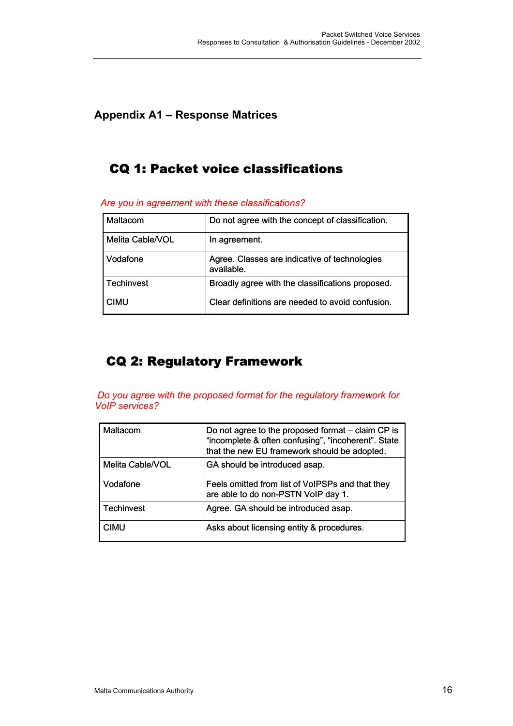### **Appendix A1 – Response Matrices**

## CQ 1: Packet voice classifications

| $1.10$ you in agroomont with those sidesmoduons. |                                                             |  |
|--------------------------------------------------|-------------------------------------------------------------|--|
| Maltacom                                         | Do not agree with the concept of classification.            |  |
| Melita Cable/VOL                                 | In agreement.                                               |  |
| Vodafone                                         | Agree. Classes are indicative of technologies<br>available. |  |
| <b>Techinvest</b>                                | Broadly agree with the classifications proposed.            |  |
| <b>CIMU</b>                                      | Clear definitions are needed to avoid confusion.            |  |

*Are you in agreement with these classifications?*

## CQ 2: Regulatory Framework

*Do you agree with the proposed format for the regulatory framework for VoIP services?*

| Maltacom          | Do not agree to the proposed format – claim CP is<br>"incomplete & often confusing", "incoherent". State<br>that the new EU framework should be adopted. |
|-------------------|----------------------------------------------------------------------------------------------------------------------------------------------------------|
| Melita Cable/VOL  | GA should be introduced asap.                                                                                                                            |
| Vodafone          | Feels omitted from list of VoIPSPs and that they<br>are able to do non-PSTN VoIP day 1.                                                                  |
| <b>Techinvest</b> | Agree. GA should be introduced asap.                                                                                                                     |
| <b>CIMU</b>       | Asks about licensing entity & procedures.                                                                                                                |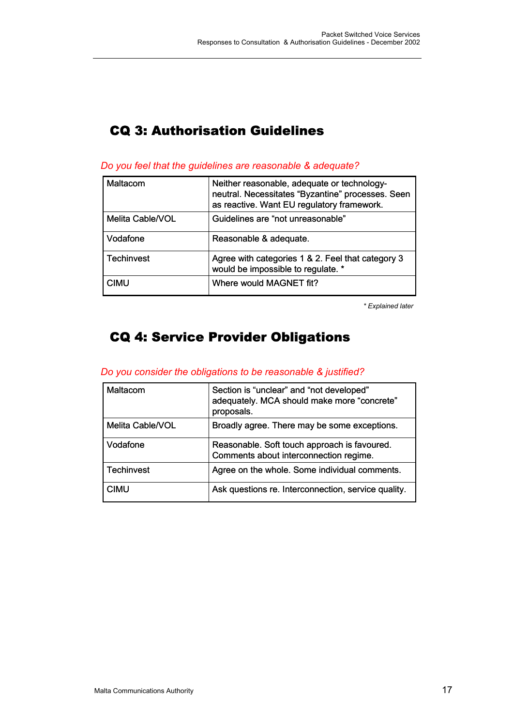## CQ 3: Authorisation Guidelines

| Maltacom          | Neither reasonable, adequate or technology-<br>neutral. Necessitates "Byzantine" processes. Seen<br>as reactive. Want EU regulatory framework. |
|-------------------|------------------------------------------------------------------------------------------------------------------------------------------------|
| Melita Cable/VOL  | Guidelines are "not unreasonable"                                                                                                              |
| Vodafone          | Reasonable & adequate.                                                                                                                         |
| <b>Techinvest</b> | Agree with categories 1 & 2. Feel that category 3<br>would be impossible to regulate. *                                                        |
| CIMU              | Where would MAGNET fit?                                                                                                                        |

*Do you feel that the guidelines are reasonable & adequate?*

*\* Explained later*

## CQ 4: Service Provider Obligations

#### *Do you consider the obligations to be reasonable & justified?*

| Maltacom         | Section is "unclear" and "not developed"<br>adequately. MCA should make more "concrete"<br>proposals. |
|------------------|-------------------------------------------------------------------------------------------------------|
| Melita Cable/VOL | Broadly agree. There may be some exceptions.                                                          |
| Vodafone         | Reasonable. Soft touch approach is favoured.<br>Comments about interconnection regime.                |
| Techinvest       | Agree on the whole. Some individual comments.                                                         |
| <b>CIMU</b>      | Ask questions re. Interconnection, service quality.                                                   |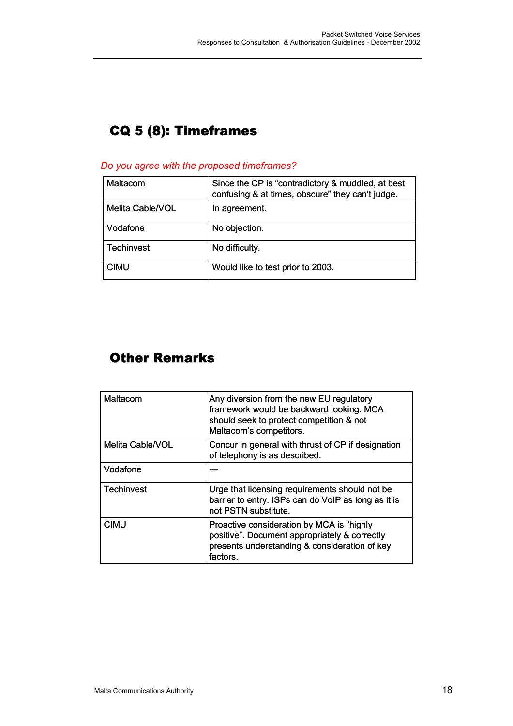# CQ 5 (8): Timeframes

#### *Do you agree with the proposed timeframes?*

| Maltacom         | Since the CP is "contradictory & muddled, at best<br>confusing & at times, obscure" they can't judge. |
|------------------|-------------------------------------------------------------------------------------------------------|
| Melita Cable/VOL | In agreement.                                                                                         |
| Vodafone         | No objection.                                                                                         |
| Techinvest       | No difficulty.                                                                                        |
| <b>CIMU</b>      | Would like to test prior to 2003.                                                                     |

## Other Remarks

| Maltacom         | Any diversion from the new EU regulatory<br>framework would be backward looking. MCA<br>should seek to protect competition & not<br>Maltacom's competitors. |
|------------------|-------------------------------------------------------------------------------------------------------------------------------------------------------------|
| Melita Cable/VOL | Concur in general with thrust of CP if designation<br>of telephony is as described.                                                                         |
| Vodafone         |                                                                                                                                                             |
| Techinvest       | Urge that licensing requirements should not be<br>barrier to entry. ISPs can do VoIP as long as it is<br>not PSTN substitute.                               |
| <b>CIMU</b>      | Proactive consideration by MCA is "highly<br>positive". Document appropriately & correctly<br>presents understanding & consideration of key<br>factors.     |